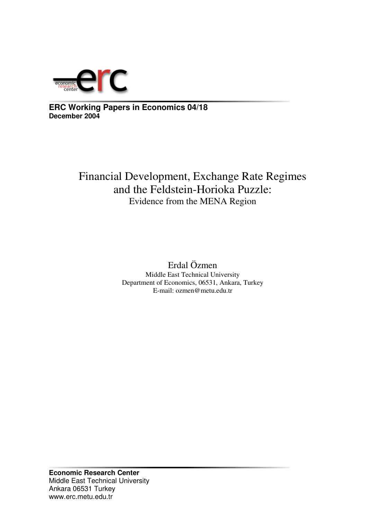

**ERC Working Papers in Economics 04/18 December 2004**

# Financial Development, Exchange Rate Regimes and the Feldstein-Horioka Puzzle: Evidence from the MENA Region

Erdal Özmen Middle East Technical University Department of Economics, 06531, Ankara, Turkey E-mail: ozmen@metu.edu.tr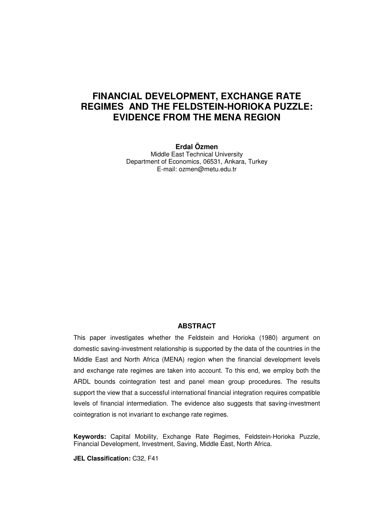# **FINANCIAL DEVELOPMENT, EXCHANGE RATE REGIMES AND THE FELDSTEIN-HORIOKA PUZZLE: EVIDENCE FROM THE MENA REGION**

**Erdal Özmen** Middle East Technical University Department of Economics, 06531, Ankara, Turkey E-mail: ozmen@metu.edu.tr

#### **ABSTRACT**

This paper investigates whether the Feldstein and Horioka (1980) argument on domestic saving-investment relationship is supported by the data of the countries in the Middle East and North Africa (MENA) region when the financial development levels and exchange rate regimes are taken into account. To this end, we employ both the ARDL bounds cointegration test and panel mean group procedures. The results support the view that a successful international financial integration requires compatible levels of financial intermediation. The evidence also suggests that saving-investment cointegration is not invariant to exchange rate regimes.

**Keywords:** Capital Mobility, Exchange Rate Regimes, Feldstein-Horioka Puzzle, Financial Development, Investment, Saving, Middle East, North Africa.

**JEL Classification:** C32, F41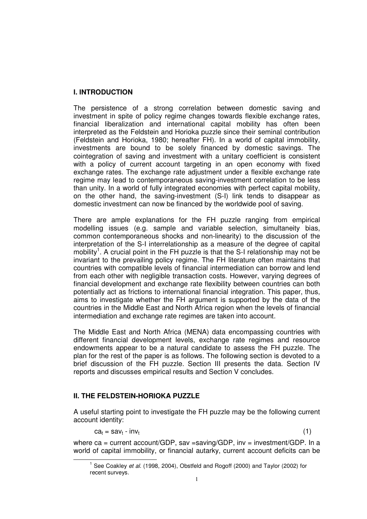# **I. INTRODUCTION**

The persistence of a strong correlation between domestic saving and investment in spite of policy regime changes towards flexible exchange rates, financial liberalization and international capital mobility has often been interpreted as the Feldstein and Horioka puzzle since their seminal contribution (Feldstein and Horioka, 1980; hereafter FH). In a world of capital immobility, investments are bound to be solely financed by domestic savings. The cointegration of saving and investment with a unitary coefficient is consistent with a policy of current account targeting in an open economy with fixed exchange rates. The exchange rate adjustment under a flexible exchange rate regime may lead to contemporaneous saving-investment correlation to be less than unity. In a world of fully integrated economies with perfect capital mobility, on the other hand, the saving-investment (S-I) link tends to disappear as domestic investment can now be financed by the worldwide pool of saving.

There are ample explanations for the FH puzzle ranging from empirical modelling issues (e.g. sample and variable selection, simultaneity bias, common contemporaneous shocks and non-linearity) to the discussion of the interpretation of the S-I interrelationship as a measure of the degree of capital mobility<sup>1</sup>. A crucial point in the FH puzzle is that the S-I relationship may not be invariant to the prevailing policy regime. The FH literature often maintains that countries with compatible levels of financial intermediation can borrow and lend from each other with negligible transaction costs. However, varying degrees of financial development and exchange rate flexibility between countries can both potentially act as frictions to international financial integration. This paper, thus, aims to investigate whether the FH argument is supported by the data of the countries in the Middle East and North Africa region when the levels of financial intermediation and exchange rate regimes are taken into account.

The Middle East and North Africa (MENA) data encompassing countries with different financial development levels, exchange rate regimes and resource endowments appear to be a natural candidate to assess the FH puzzle. The plan for the rest of the paper is as follows. The following section is devoted to a brief discussion of the FH puzzle. Section III presents the data. Section IV reports and discusses empirical results and Section V concludes.

# **II. THE FELDSTEIN-HORIOKA PUZZLE**

A useful starting point to investigate the FH puzzle may be the following current account identity:

 $ca_t = sav_t - inv_t$  (1)

where ca = current account/GDP, sav =saving/GDP, inv = investment/GDP. In a world of capital immobility, or financial autarky, current account deficits can be

<sup>&</sup>lt;sup>1</sup> See Coakley *et al.* (1998, 2004), Obstfeld and Rogoff (2000) and Taylor (2002) for recent surveys.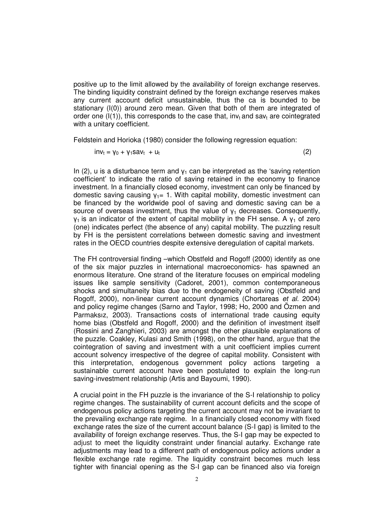positive up to the limit allowed by the availability of foreign exchange reserves. The binding liquidity constraint defined by the foreign exchange reserves makes any current account deficit unsustainable, thus the ca is bounded to be stationary (I(0)) around zero mean. Given that both of them are integrated of order one  $(I(1))$ , this corresponds to the case that, inv<sub>t</sub> and say<sub>t</sub> are cointegrated with a unitary coefficient.

Feldstein and Horioka (1980) consider the following regression equation:

$$
inv_t = \gamma_0 + \gamma_1 sav_t + u_t \tag{2}
$$

In (2), u is a disturbance term and  $y_1$  can be interpreted as the 'saving retention coefficient' to indicate the ratio of saving retained in the economy to finance investment. In a financially closed economy, investment can only be financed by domestic saving causing  $v_1 = 1$ . With capital mobility, domestic investment can be financed by the worldwide pool of saving and domestic saving can be a source of overseas investment, thus the value of  $y_1$  decreases. Consequently,  $y_1$  is an indicator of the extent of capital mobility in the FH sense. A  $y_1$  of zero (one) indicates perfect (the absence of any) capital mobility. The puzzling result by FH is the persistent correlations between domestic saving and investment rates in the OECD countries despite extensive deregulation of capital markets.

The FH controversial finding –which Obstfeld and Rogoff (2000) identify as one of the six major puzzles in international macroeconomics- has spawned an enormous literature. One strand of the literature focuses on empirical modeling issues like sample sensitivity (Cadoret, 2001), common contemporaneous shocks and simultaneity bias due to the endogeneity of saving (Obstfeld and Rogoff, 2000), non-linear current account dynamics (Chortareas *et al.* 2004) and policy regime changes (Sarno and Taylor, 1998; Ho, 2000 and Özmen and Parmaksız, 2003). Transactions costs of international trade causing equity home bias (Obstfeld and Rogoff, 2000) and the definition of investment itself (Rossini and Zanghieri, 2003) are amongst the other plausible explanations of the puzzle. Coakley, Kulasi and Smith (1998), on the other hand, argue that the cointegration of saving and investment with a unit coefficient implies current account solvency irrespective of the degree of capital mobility. Consistent with this interpretation, endogenous government policy actions targeting a sustainable current account have been postulated to explain the long-run saving-investment relationship (Artis and Bayoumi, 1990).

A crucial point in the FH puzzle is the invariance of the S-I relationship to policy regime changes. The sustainability of current account deficits and the scope of endogenous policy actions targeting the current account may not be invariant to the prevailing exchange rate regime. In a financially closed economy with fixed exchange rates the size of the current account balance (S-I gap) is limited to the availability of foreign exchange reserves. Thus, the S-I gap may be expected to adjust to meet the liquidity constraint under financial autarky. Exchange rate adjustments may lead to a different path of endogenous policy actions under a flexible exchange rate regime. The liquidity constraint becomes much less tighter with financial opening as the S-I gap can be financed also via foreign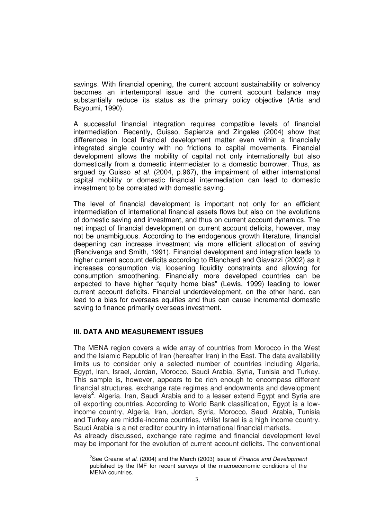savings. With financial opening, the current account sustainability or solvency becomes an intertemporal issue and the current account balance may substantially reduce its status as the primary policy objective (Artis and Bayoumi, 1990).

A successful financial integration requires compatible levels of financial intermediation. Recently, Guisso, Sapienza and Zingales (2004) show that differences in local financial development matter even within a financially integrated single country with no frictions to capital movements. Financial development allows the mobility of capital not only internationally but also domestically from a domestic intermediater to a domestic borrower. Thus, as argued by Guisso *et al.* (2004, p.967), the impairment of either international capital mobility or domestic financial intermediation can lead to domestic investment to be correlated with domestic saving.

The level of financial development is important not only for an efficient intermediation of international financial assets flows but also on the evolutions of domestic saving and investment, and thus on current account dynamics. The net impact of financial development on current account deficits, however, may not be unambiguous. According to the endogenous growth literature, financial deepening can increase investment via more efficient allocation of saving (Bencivenga and Smith, 1991). Financial development and integration leads to higher current account deficits according to Blanchard and Giavazzi (2002) as it increases consumption via loosening liquidity constraints and allowing for consumption smoothening. Financially more developed countries can be expected to have higher "equity home bias" (Lewis, 1999) leading to lower current account deficits. Financial underdevelopment, on the other hand, can lead to a bias for overseas equities and thus can cause incremental domestic saving to finance primarily overseas investment.

## **III. DATA AND MEASUREMENT ISSUES**

The MENA region covers a wide array of countries from Morocco in the West and the Islamic Republic of Iran (hereafter Iran) in the East. The data availability limits us to consider only a selected number of countries including Algeria, Egypt, Iran, Israel, Jordan, Morocco, Saudi Arabia, Syria, Tunisia and Turkey. This sample is, however, appears to be rich enough to encompass different financial structures, exchange rate regimes and endowments and development levels<sup>2</sup>. Algeria, Iran, Saudi Arabia and to a lesser extend Egypt and Syria are oil exporting countries. According to World Bank classification, Egypt is a lowincome country, Algeria, Iran, Jordan, Syria, Morocco, Saudi Arabia, Tunisia and Turkey are middle-income countries, whilst Israel is a high income country. Saudi Arabia is a net creditor country in international financial markets.

As already discussed, exchange rate regime and financial development level may be important for the evolution of current account deficits. The conventional

<sup>2</sup> See Creane *et al*. (2004) and the March (2003) issue of *Finance and Development* published by the IMF for recent surveys of the macroeconomic conditions of the MENA countries.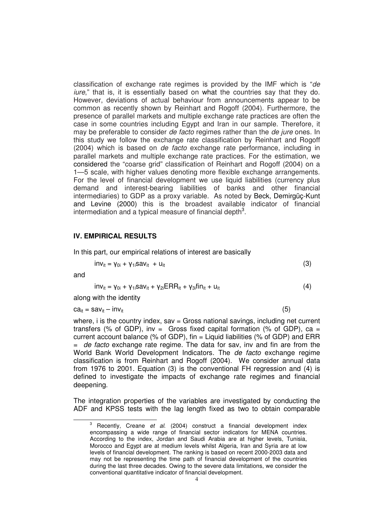classification of exchange rate regimes is provided by the IMF which is "*de iure*," that is, it is essentially based on what the countries say that they do. However, deviations of actual behaviour from announcements appear to be common as recently shown by Reinhart and Rogoff (2004). Furthermore, the presence of parallel markets and multiple exchange rate practices are often the case in some countries including Egypt and Iran in our sample. Therefore, it may be preferable to consider *de facto* regimes rather than the *de jure* ones. In this study we follow the exchange rate classification by Reinhart and Rogoff (2004) which is based on *de facto* exchange rate performance, including in parallel markets and multiple exchange rate practices. For the estimation, we considered the "coarse grid" classification of Reinhart and Rogoff (2004) on a 1—5 scale, with higher values denoting more flexible exchange arrangements. For the level of financial development we use liquid liabilities (currency plus demand and interest-bearing liabilities of banks and other financial intermediaries) to GDP as a proxy variable. As noted by Beck, Demirgüç-Kunt and Levine (2000) this is the broadest available indicator of financial intermediation and a typical measure of financial depth $3$ .

#### **IV. EMPIRICAL RESULTS**

In this part, our empirical relations of interest are basically

$$
inv_{it} = \gamma_{0i} + \gamma_{1i} sav_{it} + u_{it}
$$
 (3)

and

$$
inv_{it} = \gamma_{0i} + \gamma_{1i} sav_{it} + \gamma_{2i} ERR_{it} + \gamma_{3i} fin_{it} + u_{it}
$$
\n
$$
\tag{4}
$$

along with the identity

 $ca_{it} = sav_{it} - inv_{it}$  (5)

where,  $i$  is the country index,  $sav = Gross$  national savings, including net current transfers (% of GDP), inv = Gross fixed capital formation (% of GDP),  $ca =$ current account balance (% of GDP), fin  $=$  Liquid liabilities (% of GDP) and ERR = *de facto* exchange rate regime. The data for sav, inv and fin are from the World Bank World Development Indicators. The *de facto* exchange regime classification is from Reinhart and Rogoff (2004). We consider annual data from 1976 to 2001. Equation (3) is the conventional FH regression and (4) is defined to investigate the impacts of exchange rate regimes and financial deepening.

The integration properties of the variables are investigated by conducting the ADF and KPSS tests with the lag length fixed as two to obtain comparable

<sup>3</sup> Recently, Creane *et al*. (2004) construct a financial development index encompassing a wide range of financial sector indicators for MENA countries. According to the index, Jordan and Saudi Arabia are at higher levels, Tunisia, Morocco and Egypt are at medium levels whilst Algeria, Iran and Syria are at low levels of financial development. The ranking is based on recent 2000-2003 data and may not be representing the time path of financial development of the countries during the last three decades. Owing to the severe data limitations, we consider the conventional quantitative indicator of financial development.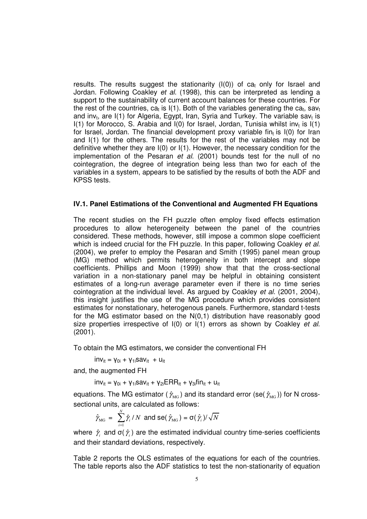results. The results suggest the stationarity  $(I(0))$  of ca<sub>t</sub> only for Israel and Jordan. Following Coakley *et al*. (1998), this can be interpreted as lending a support to the sustainability of current account balances for these countries. For the rest of the countries, ca<sub>t</sub> is I(1). Both of the variables generating the ca<sub>t</sub>, sav<sub>t</sub> and inv<sub>t</sub>, are I(1) for Algeria, Egypt, Iran, Syria and Turkey. The variable sav<sub>t</sub> is I(1) for Morocco, S. Arabia and I(0) for Israel, Jordan, Tunisia whilst inv<sub>t</sub> is I(1) for Israel, Jordan. The financial development proxy variable fin<sub>t</sub> is I(0) for Iran and I(1) for the others. The results for the rest of the variables may not be definitive whether they are I(0) or I(1). However, the necessary condition for the implementation of the Pesaran *et al.* (2001) bounds test for the null of no cointegration, the degree of integration being less than two for each of the variables in a system, appears to be satisfied by the results of both the ADF and KPSS tests.

#### **IV.1. Panel Estimations of the Conventional and Augmented FH Equations**

The recent studies on the FH puzzle often employ fixed effects estimation procedures to allow heterogeneity between the panel of the countries considered. These methods, however, still impose a common slope coefficient which is indeed crucial for the FH puzzle. In this paper, following Coakley *et al.* (2004), we prefer to employ the Pesaran and Smith (1995) panel mean group (MG) method which permits heterogeneity in both intercept and slope coefficients. Phillips and Moon (1999) show that that the cross-sectional variation in a non-stationary panel may be helpful in obtaining consistent estimates of a long-run average parameter even if there is no time series cointegration at the individual level. As argued by Coakley *et al.* (2001, 2004), this insight justifies the use of the MG procedure which provides consistent estimates for nonstationary, heterogenous panels. Furthermore, standard t-tests for the MG estimator based on the N(0,1) distribution have reasonably good size properties irrespective of I(0) or I(1) errors as shown by Coakley *et al.* (2001).

To obtain the MG estimators, we consider the conventional FH

 $inv_{it} = V_{0i} + V_{1i}Sav_{it} + U_{it}$ 

and, the augmented FH

 $inv_{it} = \gamma_{0i} + \gamma_{1i} sav_{it} + \gamma_{2i} ERR_{it} + \gamma_{3i} fin_{it} + u_{it}$ 

equations. The MG estimator (  $\hat{\gamma}_{_{\rm MG}}$  ) and its standard error (se(  $\hat{\gamma}_{_{\rm MG}}$  )) for N crosssectional units, are calculated as follows:

$$
\hat{\gamma}_{\text{MG}} = \sum_{i=1}^{N} \hat{\gamma}_i / N \text{ and } \text{se}(\hat{\gamma}_{\text{MG}}) = \sigma(\hat{\gamma}_i) / \sqrt{N}
$$

where  $\,\hat{\gamma}_i\,$  and  $\sigma(\,\hat{\gamma}_i)$  are the estimated individual country time-series coefficients and their standard deviations, respectively.

Table 2 reports the OLS estimates of the equations for each of the countries. The table reports also the ADF statistics to test the non-stationarity of equation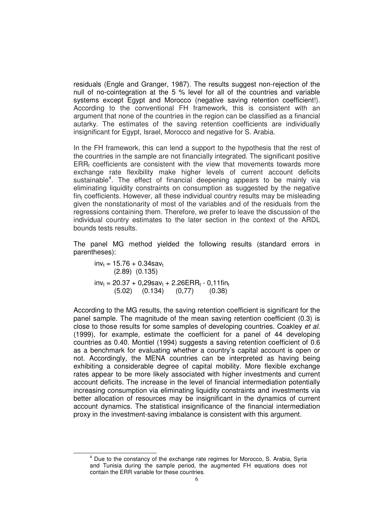residuals (Engle and Granger, 1987). The results suggest non-rejection of the null of no-cointegration at the 5 % level for all of the countries and variable systems except Egypt and Morocco (negative saving retention coefficient!). According to the conventional FH framework, this is consistent with an argument that none of the countries in the region can be classified as a financial autarky. The estimates of the saving retention coefficients are individually insignificant for Egypt, Israel, Morocco and negative for S. Arabia.

In the FH framework, this can lend a support to the hypothesis that the rest of the countries in the sample are not financially integrated. The significant positive  $ERR<sub>t</sub>$  coefficients are consistent with the view that movements towards more exchange rate flexibility make higher levels of current account deficits sustainable<sup>4</sup>. The effect of financial deepening appears to be mainly via eliminating liquidity constraints on consumption as suggested by the negative  $fin<sub>t</sub> coefficients. However, all these individual country results may be misleading$ given the nonstationarity of most of the variables and of the residuals from the regressions containing them. Therefore, we prefer to leave the discussion of the individual country estimates to the later section in the context of the ARDL bounds tests results.

The panel MG method yielded the following results (standard errors in parentheses):

 $inv_t = 15.76 + 0.34sav_t$ (2.89) (0.135)  $inv_t = 20.37 + 0.29sav_t + 2.26ERR_t - 0.11fin_t$ (5.02) (0.134) (0,77) (0.38)

According to the MG results, the saving retention coefficient is significant for the panel sample. The magnitude of the mean saving retention coefficient (0.3) is close to those results for some samples of developing countries. Coakley *et al.* (1999), for example, estimate the coefficient for a panel of 44 developing countries as 0.40. Montiel (1994) suggests a saving retention coefficient of 0.6 as a benchmark for evaluating whether a country's capital account is open or not. Accordingly, the MENA countries can be interpreted as having being exhibiting a considerable degree of capital mobility. More flexible exchange rates appear to be more likely associated with higher investments and current account deficits. The increase in the level of financial intermediation potentially increasing consumption via eliminating liquidity constraints and investments via better allocation of resources may be insignificant in the dynamics of current account dynamics. The statistical insignificance of the financial intermediation proxy in the investment-saving imbalance is consistent with this argument.

 $4$  Due to the constancy of the exchange rate regimes for Morocco, S. Arabia, Syria and Tunisia during the sample period, the augmented FH equations does not contain the ERR variable for these countries.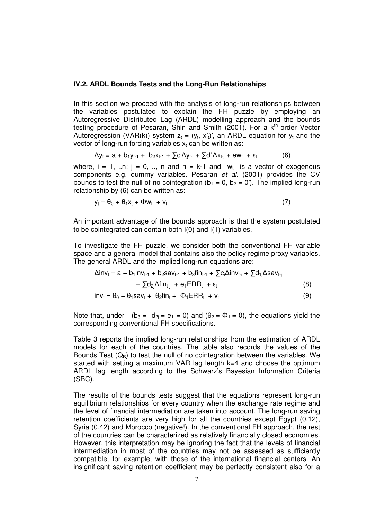#### **IV.2. ARDL Bounds Tests and the Long-Run Relationships**

In this section we proceed with the analysis of long-run relationships between the variables postulated to explain the FH puzzle by employing an Autoregressive Distributed Lag (ARDL) modelling approach and the bounds testing procedure of Pesaran, Shin and Smith (2001). For a k<sup>th</sup> order Vector Autoregression (VAR(k)) system  $z_t = (y_t, x_t')'$ , an ARDL equation for  $y_t$  and the vector of long-run forcing variables  $x_t$  can be written as:

$$
\Delta y_t = a + b_1 y_{t-1} + b_2 x_{t-1} + \sum c_i \Delta y_{t-i} + \sum d'_j \Delta x_{t-j} + ew_t + \epsilon_t \tag{6}
$$

where,  $i = 1, ...n$ ;  $j = 0, ...$ , n and  $n = k-1$  and  $w_t$  is a vector of exogenous components e.g. dummy variables. Pesaran *et al.* (2001) provides the CV bounds to test the null of no cointegration ( $b_1 = 0$ ,  $b_2 = 0'$ ). The implied long-run relationship by (6) can be written as:

$$
y_t = \theta_0 + \theta_1 x_t + \Phi w_t + v_t \tag{7}
$$

An important advantage of the bounds approach is that the system postulated to be cointegrated can contain both I(0) and I(1) variables.

To investigate the FH puzzle, we consider both the conventional FH variable space and a general model that contains also the policy regime proxy variables. The general ARDL and the implied long-run equations are:

$$
\Delta inv_t = a + b_1inv_{t-1} + b_2sav_{t-1} + b_3fin_{t-1} + \sum c_i\Delta inv_{t-i} + \sum d_{1j}\Delta sav_{t-j}
$$

$$
+\sum d_{2j}\Delta \sin_{t-j} + e_1 ERR_t + \varepsilon_t \tag{8}
$$

$$
inv_t = \theta_0 + \theta_1 sav_t + \theta_2 fin_t + \Phi_1 ERR_t + v_t \tag{9}
$$

Note that, under  $(b_3 = d_{2i} = e_1 = 0)$  and  $(\theta_2 = \Phi_1 = 0)$ , the equations yield the corresponding conventional FH specifications.

Table 3 reports the implied long-run relationships from the estimation of ARDL models for each of the countries. The table also records the values of the Bounds Test  $(Q_B)$  to test the null of no cointegration between the variables. We started with setting a maximum VAR lag length k=4 and choose the optimum ARDL lag length according to the Schwarz's Bayesian Information Criteria (SBC).

The results of the bounds tests suggest that the equations represent long-run equilibrium relationships for every country when the exchange rate regime and the level of financial intermediation are taken into account. The long-run saving retention coefficients are very high for all the countries except Egypt (0.12), Syria (0.42) and Morocco (negative!). In the conventional FH approach, the rest of the countries can be characterized as relatively financially closed economies. However, this interpretation may be ignoring the fact that the levels of financial intermediation in most of the countries may not be assessed as sufficiently compatible, for example, with those of the international financial centers. An insignificant saving retention coefficient may be perfectly consistent also for a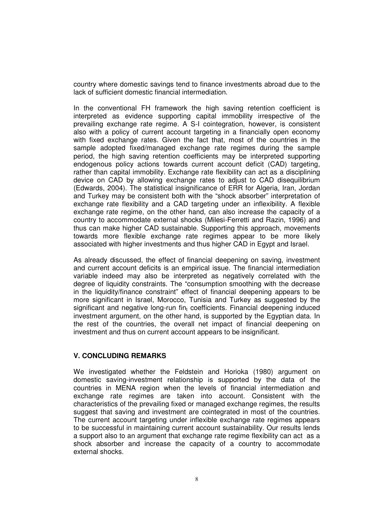country where domestic savings tend to finance investments abroad due to the lack of sufficient domestic financial intermediation.

In the conventional FH framework the high saving retention coefficient is interpreted as evidence supporting capital immobility irrespective of the prevailing exchange rate regime. A S-I cointegration, however, is consistent also with a policy of current account targeting in a financially open economy with fixed exchange rates. Given the fact that, most of the countries in the sample adopted fixed/managed exchange rate regimes during the sample period, the high saving retention coefficients may be interpreted supporting endogenous policy actions towards current account deficit (CAD) targeting, rather than capital immobility. Exchange rate flexibility can act as a disciplining device on CAD by allowing exchange rates to adjust to CAD disequilibrium (Edwards, 2004). The statistical insignificance of ERR for Algeria, Iran, Jordan and Turkey may be consistent both with the "shock absorber" interpretation of exchange rate flexibility and a CAD targeting under an inflexibility. A flexible exchange rate regime, on the other hand, can also increase the capacity of a country to accommodate external shocks (Milesi-Ferretti and Razin, 1996) and thus can make higher CAD sustainable. Supporting this approach, movements towards more flexible exchange rate regimes appear to be more likely associated with higher investments and thus higher CAD in Egypt and Israel.

As already discussed, the effect of financial deepening on saving, investment and current account deficits is an empirical issue. The financial intermediation variable indeed may also be interpreted as negatively correlated with the degree of liquidity constraints. The "consumption smoothing with the decrease in the liquidity/finance constraint" effect of financial deepening appears to be more significant in Israel, Morocco, Tunisia and Turkey as suggested by the significant and negative long-run fin<sub>t</sub> coefficients. Financial deepening induced investment argument, on the other hand, is supported by the Egyptian data. In the rest of the countries, the overall net impact of financial deepening on investment and thus on current account appears to be insignificant.

## **V. CONCLUDING REMARKS**

We investigated whether the Feldstein and Horioka (1980) argument on domestic saving-investment relationship is supported by the data of the countries in MENA region when the levels of financial intermediation and exchange rate regimes are taken into account. Consistent with the characteristics of the prevailing fixed or managed exchange regimes, the results suggest that saving and investment are cointegrated in most of the countries. The current account targeting under inflexible exchange rate regimes appears to be successful in maintaining current account sustainability. Our results lends a support also to an argument that exchange rate regime flexibility can act as a shock absorber and increase the capacity of a country to accommodate external shocks.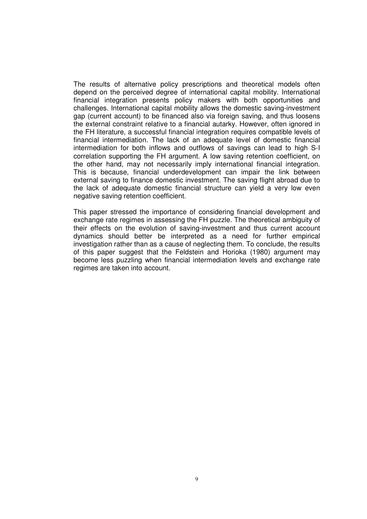The results of alternative policy prescriptions and theoretical models often depend on the perceived degree of international capital mobility. International financial integration presents policy makers with both opportunities and challenges. International capital mobility allows the domestic saving-investment gap (current account) to be financed also via foreign saving, and thus loosens the external constraint relative to a financial autarky. However, often ignored in the FH literature, a successful financial integration requires compatible levels of financial intermediation. The lack of an adequate level of domestic financial intermediation for both inflows and outflows of savings can lead to high S-I correlation supporting the FH argument. A low saving retention coefficient, on the other hand, may not necessarily imply international financial integration. This is because, financial underdevelopment can impair the link between external saving to finance domestic investment. The saving flight abroad due to the lack of adequate domestic financial structure can yield a very low even negative saving retention coefficient.

This paper stressed the importance of considering financial development and exchange rate regimes in assessing the FH puzzle. The theoretical ambiguity of their effects on the evolution of saving-investment and thus current account dynamics should better be interpreted as a need for further empirical investigation rather than as a cause of neglecting them. To conclude, the results of this paper suggest that the Feldstein and Horioka (1980) argument may become less puzzling when financial intermediation levels and exchange rate regimes are taken into account.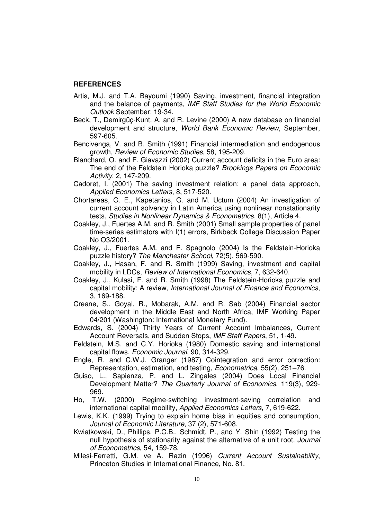#### **REFERENCES**

- Artis, M.J. and T.A. Bayoumi (1990) Saving, investment, financial integration and the balance of payments, *IMF Staff Studies for the World Economic Outlook* September: 19-34.
- Beck, T., Demirgüç-Kunt, A. and R. Levine (2000) A new database on financial development and structure, *World Bank Economic Review*, September, 597-605.
- Bencivenga, V. and B. Smith (1991) Financial intermediation and endogenous growth, *Review of Economic Studies*, 58, 195-209.
- Blanchard, O. and F. Giavazzi (2002) Current account deficits in the Euro area: The end of the Feldstein Horioka puzzle? *Brookings Papers on Economic Activity*, 2, 147-209.
- Cadoret, I. (2001) The saving investment relation: a panel data approach, *Applied Economics Letters*, 8, 517-520.
- Chortareas, G. E., Kapetanios, G. and M. Uctum (2004) An investigation of current account solvency in Latin America using nonlinear nonstationarity tests, *Studies in Nonlinear Dynamics & Econometrics*, 8(1), Article 4.
- Coakley, J., Fuertes A.M. and R. Smith (2001) Small sample properties of panel time-series estimators with I(1) errors, Birkbeck College Discussion Paper No O3/2001.
- Coakley, J., Fuertes A.M. and F. Spagnolo (2004) Is the Feldstein-Horioka puzzle history? *The Manchester School*, 72(5), 569-590.
- Coakley, J., Hasan, F. and R. Smith (1999) Saving, investment and capital mobility in LDCs, *Review of International Economics*, 7, 632-640.
- Coakley, J., Kulasi, F. and R. Smith (1998) The Feldstein-Horioka puzzle and capital mobility: A review, *International Journal of Finance and Economics*, 3, 169-188.
- Creane, S., Goyal, R., Mobarak, A.M. and R. Sab (2004) Financial sector development in the Middle East and North Africa, IMF Working Paper 04/201 (Washington: International Monetary Fund).
- Edwards, S. (2004) Thirty Years of Current Account Imbalances, Current Account Reversals, and Sudden Stops, *IMF Staff Papers*, 51, 1-49.
- Feldstein, M.S. and C.Y. Horioka (1980) Domestic saving and international capital flows, *Economic Journal*, 90, 314-329.
- Engle, R. and C.W.J. Granger (1987) Cointegration and error correction: Representation, estimation, and testing, *Econometrica*, 55(2), 251–76.
- Guiso, L., Sapienza, P. and L. Zingales (2004) Does Local Financial Development Matter? *The Quarterly Journal of Economics*, 119(3), 929- 969.
- Ho, T.W. (2000) Regime-switching investment-saving correlation and international capital mobility, *Applied Economics Letters*, 7, 619-622.
- Lewis, K.K. (1999) Trying to explain home bias in equities and consumption, *Journal of Economic Literature*, 37 (2), 571-608.
- Kwiatkowski, D., Phillips, P.C.B., Schmidt, P., and Y. Shin (1992) Testing the null hypothesis of stationarity against the alternative of a unit root, *Journal of Econometrics*, 54, 159-78.
- Milesi-Ferretti, G.M. ve A. Razin (1996) *Current Account Sustainability*, Princeton Studies in International Finance, No. 81.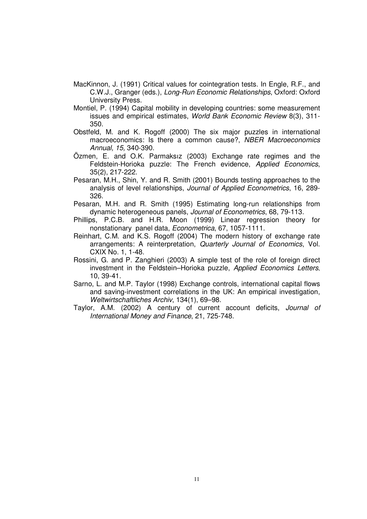- MacKinnon, J. (1991) Critical values for cointegration tests. In Engle, R.F., and C.W.J., Granger (eds.), *Long-Run Economic Relationships*, Oxford: Oxford University Press.
- Montiel, P. (1994) Capital mobility in developing countries: some measurement issues and empirical estimates, *World Bank Economic Review* 8(3), 311- 350.
- Obstfeld, M. and K. Rogoff (2000) The six major puzzles in international macroeconomics: Is there a common cause?, *NBER Macroeconomics Annual, 15,* 340-390.
- Özmen, E. and O.K. Parmaksız (2003) Exchange rate regimes and the Feldstein-Horioka puzzle: The French evidence, *Applied Economics*, 35(2), 217-222.
- Pesaran, M.H., Shin, Y. and R. Smith (2001) Bounds testing approaches to the analysis of level relationships, *Journal of Applied Econometrics*, 16, 289- 326.
- Pesaran, M.H. and R. Smith (1995) Estimating long-run relationships from dynamic heterogeneous panels, *Journal of Econometrics*, 68, 79-113.
- Phillips, P.C.B. and H.R. Moon (1999) Linear regression theory for nonstationary panel data, *Econometrica*, 67, 1057-1111.
- Reinhart, C.M. and K.S. Rogoff (2004) The modern history of exchange rate arrangements: A reinterpretation, *Quarterly Journal of Economics*, Vol. CXIX No. 1, 1-48.
- Rossini, G. and P. Zanghieri (2003) A simple test of the role of foreign direct investment in the Feldstein–Horioka puzzle, *Applied Economics Letters*, 10, 39-41.
- Sarno, L. and M.P. Taylor (1998) Exchange controls, international capital flows and saving-investment correlations in the UK: An empirical investigation, *Weltwirtschaftliches Archiv*, 134(1), 69–98.
- Taylor, A.M. (2002) A century of current account deficits, *Journal of International Money and Finance*, 21, 725-748.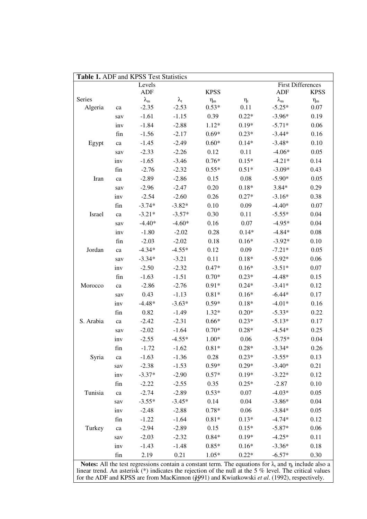| Table 1. ADF and KPSS Test Statistics |            |                   |                   |                |                                                                                                                              |                          |             |  |
|---------------------------------------|------------|-------------------|-------------------|----------------|------------------------------------------------------------------------------------------------------------------------------|--------------------------|-------------|--|
|                                       |            | Levels            |                   |                |                                                                                                                              | <b>First Differences</b> |             |  |
|                                       |            | <b>ADF</b>        |                   | <b>KPSS</b>    |                                                                                                                              | <b>ADF</b>               | <b>KPSS</b> |  |
| Series                                |            | $\lambda_{\rm m}$ | $\lambda_{\rm t}$ | $\eta_{\rm m}$ | $\eta_t$                                                                                                                     | $\lambda_{\rm m}$        | $\eta_m$    |  |
| Algeria                               | ca         | $-2.35$           | $-2.53$           | $0.53*$        | 0.11                                                                                                                         | $-5.25*$                 | 0.07        |  |
|                                       | sav        | $-1.61$           | $-1.15$           | 0.39           | $0.22*$                                                                                                                      | $-3.96*$                 | 0.19        |  |
|                                       | inv        | $-1.84$           | $-2.88$           | $1.12*$        | $0.19*$                                                                                                                      | $-5.71*$                 | 0.06        |  |
|                                       | fin        | $-1.56$           | $-2.17$           | $0.69*$        | $0.23*$                                                                                                                      | $-3.44*$                 | 0.16        |  |
| Egypt                                 | ${\rm ca}$ | $-1.45$           | $-2.49$           | $0.60*$        | $0.14*$                                                                                                                      | $-3.48*$                 | 0.10        |  |
|                                       | sav        | $-2.33$           | $-2.26$           | 0.12           | 0.11                                                                                                                         | $-4.06*$                 | 0.05        |  |
|                                       | inv        | $-1.65$           | $-3.46$           | $0.76*$        | $0.15*$                                                                                                                      | $-4.21*$                 | 0.14        |  |
|                                       | fin        | $-2.76$           | $-2.32$           | $0.55*$        | $0.51*$                                                                                                                      | $-3.09*$                 | 0.43        |  |
| Iran                                  | ${\rm ca}$ | $-2.89$           | $-2.86$           | 0.15           | 0.08                                                                                                                         | $-5.90*$                 | 0.05        |  |
|                                       | sav        | $-2.96$           | $-2.47$           | 0.20           | $0.18*$                                                                                                                      | $3.84*$                  | 0.29        |  |
|                                       | inv        | $-2.54$           | $-2.60$           | 0.26           | $0.27*$                                                                                                                      | $-3.16*$                 | 0.38        |  |
|                                       | fin        | $-3.74*$          | $-3.82*$          | 0.10           | 0.09                                                                                                                         | $-4.40*$                 | 0.07        |  |
| Israel                                | ${\rm ca}$ | $-3.21*$          | $-3.57*$          | 0.30           | 0.11                                                                                                                         | $-5.55*$                 | 0.04        |  |
|                                       | sav        | $-4.40*$          | $-4.60*$          | 0.16           | 0.07                                                                                                                         | $-4.95*$                 | 0.04        |  |
|                                       | inv        | $-1.80$           | $-2.02$           | 0.28           | $0.14*$                                                                                                                      | $-4.84*$                 | 0.08        |  |
|                                       | fin        | $-2.03$           | $-2.02$           | 0.18           | $0.16*$                                                                                                                      | $-3.92*$                 | 0.10        |  |
| Jordan                                | ${\rm ca}$ | $-4.34*$          | $-4.55*$          | 0.12           | 0.09                                                                                                                         | $-7.21*$                 | 0.05        |  |
|                                       | sav        | $-3.34*$          | $-3.21$           | 0.11           | $0.18*$                                                                                                                      | $-5.92*$                 | 0.06        |  |
|                                       | inv        | $-2.50$           | $-2.32$           | $0.47*$        | $0.16*$                                                                                                                      | $-3.51*$                 | 0.07        |  |
|                                       | fin        | $-1.63$           | $-1.51$           | $0.70*$        | $0.23*$                                                                                                                      | $-4.48*$                 | 0.15        |  |
| Morocco                               | ${\rm ca}$ | $-2.86$           | $-2.76$           | $0.91*$        | $0.24*$                                                                                                                      | $-3.41*$                 | 0.12        |  |
|                                       | sav        | 0.43              | $-1.13$           | $0.81*$        | $0.16*$                                                                                                                      | $-6.44*$                 | 0.17        |  |
|                                       | inv        | $-4.48*$          | $-3.63*$          | $0.59*$        | $0.18*$                                                                                                                      | $-4.01*$                 | 0.16        |  |
|                                       | fin        | 0.82              | $-1.49$           | $1.32*$        | $0.20*$                                                                                                                      | $-5.33*$                 | 0.22        |  |
| S. Arabia                             | ca         | $-2.42$           | $-2.31$           | $0.66*$        | $0.23*$                                                                                                                      | $-5.13*$                 | 0.17        |  |
|                                       | sav        | $-2.02$           | $-1.64$           | $0.70*$        | $0.28*$                                                                                                                      | $-4.54*$                 | 0.25        |  |
|                                       | inv        | $-2.55$           | $-4.55*$          | $1.00*$        | 0.06                                                                                                                         | $-5.75*$                 | 0.04        |  |
|                                       | fin        | $-1.72$           | $-1.62$           | $0.81*$        | $0.28*$                                                                                                                      | $-3.34*$                 | 0.26        |  |
| Syria                                 | ca         | $-1.63$           | $-1.36$           | 0.28           | $0.23*$                                                                                                                      | $-3.55*$                 | 0.13        |  |
|                                       | sav        | $-2.38$           | $-1.53$           | $0.59*$        | $0.29*$                                                                                                                      | $-3.40*$                 | 0.21        |  |
|                                       | inv        | $-3.37*$          | $-2.90$           | $0.57*$        | $0.19*$                                                                                                                      | $-3.22*$                 | 0.12        |  |
|                                       | fin        | $-2.22$           | $-2.55$           | 0.35           | $0.25*$                                                                                                                      | $-2.87$                  | 0.10        |  |
| Tunisia                               | ca         | $-2.74$           | $-2.89$           | $0.53*$        | 0.07                                                                                                                         | $-4.03*$                 | 0.05        |  |
|                                       | sav        | $-3.55*$          | $-3.45*$          | 0.14           | 0.04                                                                                                                         | $-3.86*$                 | 0.04        |  |
|                                       |            |                   |                   | $0.78*$        | 0.06                                                                                                                         | $-3.84*$                 | 0.05        |  |
|                                       | inv        | $-2.48$           | $-2.88$           | $0.81*$        | $0.13*$                                                                                                                      |                          |             |  |
|                                       | fin        | $-1.22$           | $-1.64$           |                |                                                                                                                              | $-4.74*$                 | 0.12        |  |
| Turkey                                | ${\rm ca}$ | $-2.94$           | $-2.89$           | 0.15           | $0.15*$                                                                                                                      | $-5.87*$                 | 0.06        |  |
|                                       | sav        | $-2.03$           | $-2.32$           | $0.84*$        | $0.19*$                                                                                                                      | $-4.25*$                 | 0.11        |  |
|                                       | inv        | $-1.43$           | $-1.48$           | $0.85*$        | $0.16*$                                                                                                                      | $-3.36*$                 | 0.18        |  |
|                                       | fin        | 2.19              | 0.21              | $1.05*$        | $0.22*$<br><b>Notes:</b> All the test regressions contain a constant term. The equations for $\lambda$ and n, include also a | $-6.57*$                 | 0.30        |  |

12 **Notes:** All the test regressions contain a constant term. The equations for  $\lambda_t$  and  $\eta_t$  include also a linear trend. An asterisk (\*) indicates the rejection of the null at the 5 % level. The critical values for the ADF and KPSS are from MacKinnon (1991) and Kwiatkowski *et al*. (1992), respectively.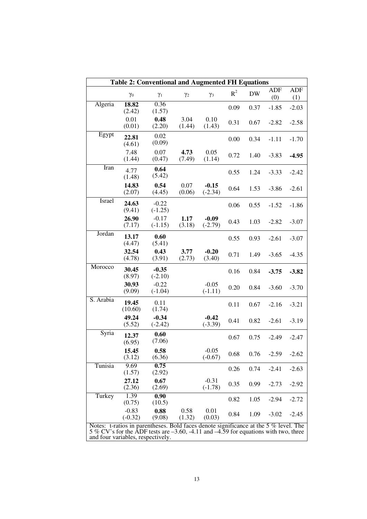| <b>Table 2: Conventional and Augmented FH Equations</b>                                                                                                                                                                 |                      |                      |                |                      |                |           |                   |                   |
|-------------------------------------------------------------------------------------------------------------------------------------------------------------------------------------------------------------------------|----------------------|----------------------|----------------|----------------------|----------------|-----------|-------------------|-------------------|
|                                                                                                                                                                                                                         | $\gamma_0$           | $\gamma_1$           | $\gamma_2$     | $\gamma_3$           | $\mathbb{R}^2$ | <b>DW</b> | <b>ADF</b><br>(0) | <b>ADF</b><br>(1) |
| Algeria                                                                                                                                                                                                                 | 18.82<br>(2.42)      | 0.36<br>(1.57)       |                |                      | 0.09           | 0.37      | $-1.85$           | $-2.03$           |
|                                                                                                                                                                                                                         | 0.01<br>(0.01)       | 0.48<br>(2.20)       | 3.04<br>(1.44) | 0.10<br>(1.43)       | 0.31           | 0.67      | $-2.82$           | $-2.58$           |
| Egypt                                                                                                                                                                                                                   | 22.81<br>(4.61)      | 0.02<br>(0.09)       |                |                      | 0.00           | 0.34      | $-1.11$           | $-1.70$           |
|                                                                                                                                                                                                                         | 7.48<br>(1.44)       | 0.07<br>(0.47)       | 4.73<br>(7.49) | 0.05<br>(1.14)       | 0.72           | 1.40      | $-3.83$           | $-4.95$           |
| Iran                                                                                                                                                                                                                    | 4.77<br>(1.48)       | 0.64<br>(5.42)       |                |                      | 0.55           | 1.24      | $-3.33$           | $-2.42$           |
|                                                                                                                                                                                                                         | 14.83<br>(2.07)      | 0.54<br>(4.45)       | 0.07<br>(0.06) | $-0.15$<br>$(-2.34)$ | 0.64           | 1.53      | $-3.86$           | $-2.61$           |
| Israel                                                                                                                                                                                                                  | 24.63<br>(9.41)      | $-0.22$<br>$(-1.25)$ |                |                      | 0.06           | 0.55      | $-1.52$           | $-1.86$           |
|                                                                                                                                                                                                                         | 26.90<br>(7.17)      | $-0.17$<br>$(-1.15)$ | 1.17<br>(3.18) | $-0.09$<br>$(-2.79)$ | 0.43           | 1.03      | $-2.82$           | $-3.07$           |
| Jordan                                                                                                                                                                                                                  | 13.17<br>(4.47)      | 0.60<br>(5.41)       |                |                      | 0.55           | 0.93      | $-2.61$           | $-3.07$           |
|                                                                                                                                                                                                                         | 32.54<br>(4.78)      | 0.43<br>(3.91)       | 3.77<br>(2.73) | $-0.20$<br>(3.40)    | 0.71           | 1.49      | $-3.65$           | $-4.35$           |
| Morocco                                                                                                                                                                                                                 | 30.45<br>(8.97)      | $-0.35$<br>$(-2.10)$ |                |                      | 0.16           | 0.84      | $-3.75$           | $-3.82$           |
|                                                                                                                                                                                                                         | 30.93<br>(9.09)      | $-0.22$<br>$(-1.04)$ |                | $-0.05$<br>$(-1.11)$ | 0.20           | 0.84      | $-3.60$           | $-3.70$           |
| S. Arabia                                                                                                                                                                                                               | 19.45<br>(10.60)     | 0.11<br>(1.74)       |                |                      | 0.11           | 0.67      | $-2.16$           | $-3.21$           |
|                                                                                                                                                                                                                         | 49.24<br>(5.52)      | $-0.34$<br>$(-2.42)$ |                | $-0.42$<br>$(-3.39)$ | 0.41           | 0.82      | $-2.61$           | $-3.19$           |
| Syria                                                                                                                                                                                                                   | 12.37<br>(6.95)      | 0.60<br>(7.06)       |                |                      | 0.67           | 0.75      | $-2.49$           | $-2.47$           |
|                                                                                                                                                                                                                         | 15.45<br>(3.12)      | 0.58<br>(6.36)       |                | $-0.05$<br>$(-0.67)$ | 0.68           | 0.76      | $-2.59$           | $-2.62$           |
| Tunisia                                                                                                                                                                                                                 | 9.69<br>(1.57)       | 0.75<br>(2.92)       |                |                      | 0.26           | 0.74      | $-2.41$           | $-2.63$           |
|                                                                                                                                                                                                                         | 27.12<br>(2.36)      | 0.67<br>(2.69)       |                | $-0.31$<br>$(-1.78)$ | 0.35           | 0.99      | $-2.73$           | $-2.92$           |
| Turkey                                                                                                                                                                                                                  | 1.39<br>(0.75)       | 0.90<br>(10.5)       |                |                      | 0.82           | 1.05      | $-2.94$           | $-2.72$           |
|                                                                                                                                                                                                                         | $-0.83$<br>$(-0.32)$ | 0.88<br>(9.08)       | 0.58<br>(1.32) | 0.01<br>(0.03)       | 0.84           | 1.09      | $-3.02$           | $-2.45$           |
| Notes: t-ratios in parentheses. Bold faces denote significance at the 5 % level. The<br>5 % CV's for the ADF tests are $-3.60$ , $-4.11$ and $-4.59$ for equations with two, three<br>and four variables, respectively. |                      |                      |                |                      |                |           |                   |                   |